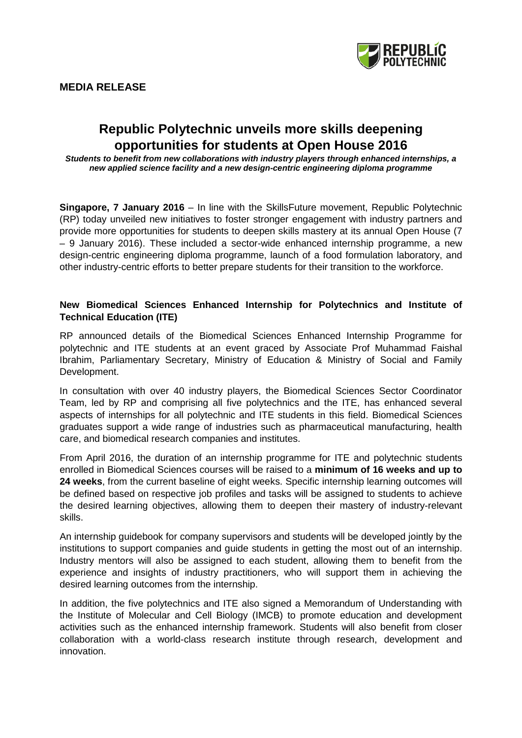

# **Republic Polytechnic unveils more skills deepening opportunities for students at Open House 2016**

*Students to benefit from new collaborations with industry players through enhanced internships, a new applied science facility and a new design-centric engineering diploma programme*

**Singapore, 7 January 2016** – In line with the SkillsFuture movement, Republic Polytechnic (RP) today unveiled new initiatives to foster stronger engagement with industry partners and provide more opportunities for students to deepen skills mastery at its annual Open House (7 – 9 January 2016). These included a sector-wide enhanced internship programme, a new design-centric engineering diploma programme, launch of a food formulation laboratory, and other industry-centric efforts to better prepare students for their transition to the workforce.

## **New Biomedical Sciences Enhanced Internship for Polytechnics and Institute of Technical Education (ITE)**

RP announced details of the Biomedical Sciences Enhanced Internship Programme for polytechnic and ITE students at an event graced by Associate Prof Muhammad Faishal Ibrahim, Parliamentary Secretary, Ministry of Education & Ministry of Social and Family Development.

In consultation with over 40 industry players, the Biomedical Sciences Sector Coordinator Team, led by RP and comprising all five polytechnics and the ITE, has enhanced several aspects of internships for all polytechnic and ITE students in this field. Biomedical Sciences graduates support a wide range of industries such as pharmaceutical manufacturing, health care, and biomedical research companies and institutes.

From April 2016, the duration of an internship programme for ITE and polytechnic students enrolled in Biomedical Sciences courses will be raised to a **minimum of 16 weeks and up to 24 weeks**, from the current baseline of eight weeks. Specific internship learning outcomes will be defined based on respective job profiles and tasks will be assigned to students to achieve the desired learning objectives, allowing them to deepen their mastery of industry-relevant skills.

An internship guidebook for company supervisors and students will be developed jointly by the institutions to support companies and guide students in getting the most out of an internship. Industry mentors will also be assigned to each student, allowing them to benefit from the experience and insights of industry practitioners, who will support them in achieving the desired learning outcomes from the internship.

In addition, the five polytechnics and ITE also signed a Memorandum of Understanding with the Institute of Molecular and Cell Biology (IMCB) to promote education and development activities such as the enhanced internship framework. Students will also benefit from closer collaboration with a world-class research institute through research, development and innovation.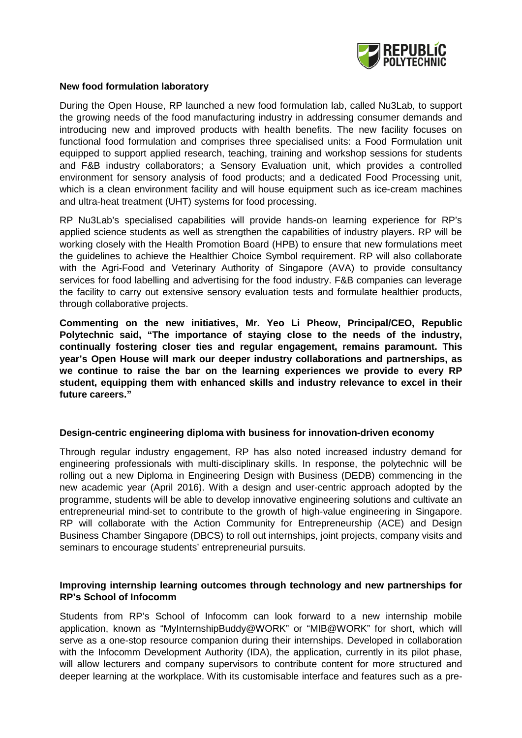

### **New food formulation laboratory**

During the Open House, RP launched a new food formulation lab, called Nu3Lab, to support the growing needs of the food manufacturing industry in addressing consumer demands and introducing new and improved products with health benefits. The new facility focuses on functional food formulation and comprises three specialised units: a Food Formulation unit equipped to support applied research, teaching, training and workshop sessions for students and F&B industry collaborators; a Sensory Evaluation unit, which provides a controlled environment for sensory analysis of food products; and a dedicated Food Processing unit, which is a clean environment facility and will house equipment such as ice-cream machines and ultra-heat treatment (UHT) systems for food processing.

RP Nu3Lab's specialised capabilities will provide hands-on learning experience for RP's applied science students as well as strengthen the capabilities of industry players. RP will be working closely with the Health Promotion Board (HPB) to ensure that new formulations meet the guidelines to achieve the Healthier Choice Symbol requirement. RP will also collaborate with the Agri-Food and Veterinary Authority of Singapore (AVA) to provide consultancy services for food labelling and advertising for the food industry. F&B companies can leverage the facility to carry out extensive sensory evaluation tests and formulate healthier products, through collaborative projects.

**Commenting on the new initiatives, Mr. Yeo Li Pheow, Principal/CEO, Republic Polytechnic said, "The importance of staying close to the needs of the industry, continually fostering closer ties and regular engagement, remains paramount. This year's Open House will mark our deeper industry collaborations and partnerships, as we continue to raise the bar on the learning experiences we provide to every RP student, equipping them with enhanced skills and industry relevance to excel in their future careers."** 

#### **Design-centric engineering diploma with business for innovation-driven economy**

Through regular industry engagement, RP has also noted increased industry demand for engineering professionals with multi-disciplinary skills. In response, the polytechnic will be rolling out a new Diploma in Engineering Design with Business (DEDB) commencing in the new academic year (April 2016). With a design and user-centric approach adopted by the programme, students will be able to develop innovative engineering solutions and cultivate an entrepreneurial mind-set to contribute to the growth of high-value engineering in Singapore. RP will collaborate with the Action Community for Entrepreneurship (ACE) and Design Business Chamber Singapore (DBCS) to roll out internships, joint projects, company visits and seminars to encourage students' entrepreneurial pursuits.

#### **Improving internship learning outcomes through technology and new partnerships for RP's School of Infocomm**

Students from RP's School of Infocomm can look forward to a new internship mobile application, known as "MyInternshipBuddy@WORK" or "MIB@WORK" for short, which will serve as a one-stop resource companion during their internships. Developed in collaboration with the Infocomm Development Authority (IDA), the application, currently in its pilot phase, will allow lecturers and company supervisors to contribute content for more structured and deeper learning at the workplace. With its customisable interface and features such as a pre-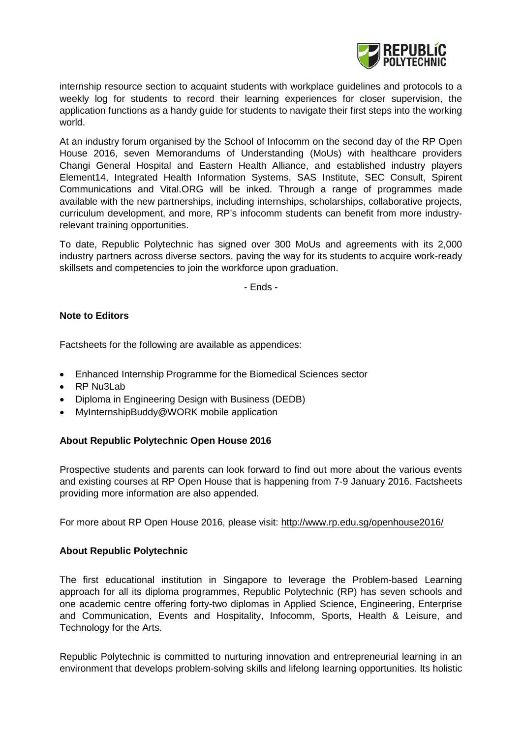

internship resource section to acquaint students with workplace guidelines and protocols to a weekly log for students to record their learning experiences for closer supervision, the application functions as a handy guide for students to navigate their first steps into the working world.

At an industry forum organised by the School of Infocomm on the second day of the RP Open House 2016, seven Memorandums of Understanding (MoUs) with healthcare providers Changi General Hospital and Eastern Health Alliance, and established industry players Element14, Integrated Health Information Systems, SAS Institute, SEC Consult, Spirent Communications and Vital.ORG will be inked. Through a range of programmes made available with the new partnerships, including internships, scholarships, collaborative projects, curriculum development, and more, RP's infocomm students can benefit from more industryrelevant training opportunities.

To date, Republic Polytechnic has signed over 300 MoUs and agreements with its 2,000 industry partners across diverse sectors, paving the way for its students to acquire work-ready skillsets and competencies to join the workforce upon graduation.

- Ends -

## **Note to Editors**

Factsheets for the following are available as appendices:

- Enhanced Internship Programme for the Biomedical Sciences sector
- RP Nu3Lab
- Diploma in Engineering Design with Business (DEDB)
- MyInternshipBuddy@WORK mobile application

## **About Republic Polytechnic Open House 2016**

Prospective students and parents can look forward to find out more about the various events and existing courses at RP Open House that is happening from 7-9 January 2016. Factsheets providing more information are also appended.

For more about RP Open House 2016, please visit: <http://www.rp.edu.sg/openhouse2016/>

## **About Republic Polytechnic**

The first educational institution in Singapore to leverage the Problem-based Learning approach for all its diploma programmes, Republic Polytechnic (RP) has seven schools and one academic centre offering forty-two diplomas in Applied Science, Engineering, Enterprise and Communication, Events and Hospitality, Infocomm, Sports, Health & Leisure, and Technology for the Arts.

Republic Polytechnic is committed to nurturing innovation and entrepreneurial learning in an environment that develops problem-solving skills and lifelong learning opportunities. Its holistic